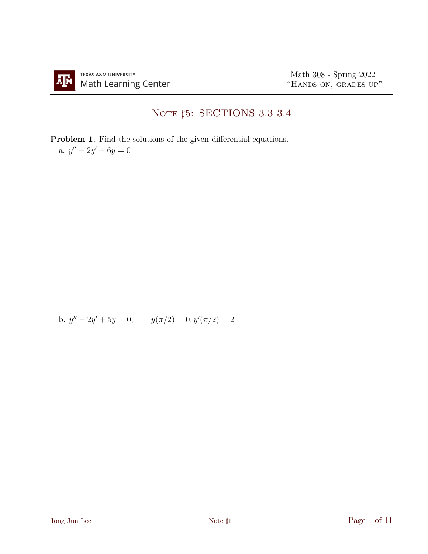## NOTE  $\sharp 5:$  SECTIONS 3.3-3.4

Problem 1. Find the solutions of the given differential equations. a.  $y'' - 2y' + 6y = 0$ 

b.  $y'' - 2y' + 5y = 0$ ,  $y(\pi/2) = 0$ ,  $y'(\pi/2) = 2$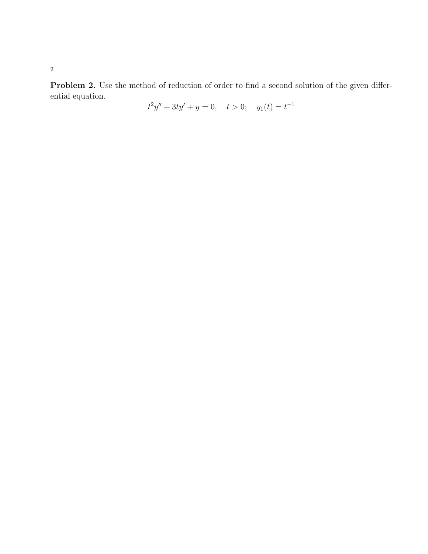Problem 2. Use the method of reduction of order to find a second solution of the given differential equation.

$$
t^2y'' + 3ty' + y = 0, \quad t > 0; \quad y_1(t) = t^{-1}
$$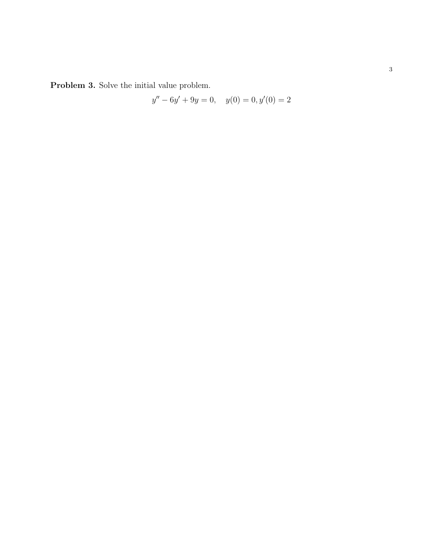Problem 3. Solve the initial value problem.

$$
y'' - 6y' + 9y = 0, \quad y(0) = 0, y'(0) = 2
$$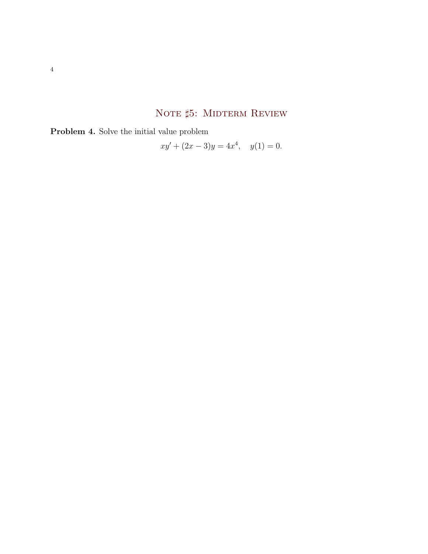## NOTE #5: MIDTERM REVIEW

Problem 4. Solve the initial value problem

$$
xy' + (2x - 3)y = 4x^4, \quad y(1) = 0.
$$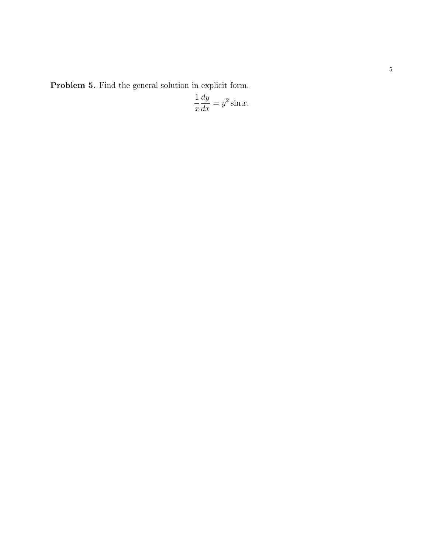Problem 5. Find the general solution in explicit form.

$$
\frac{1}{x}\frac{dy}{dx} = y^2 \sin x.
$$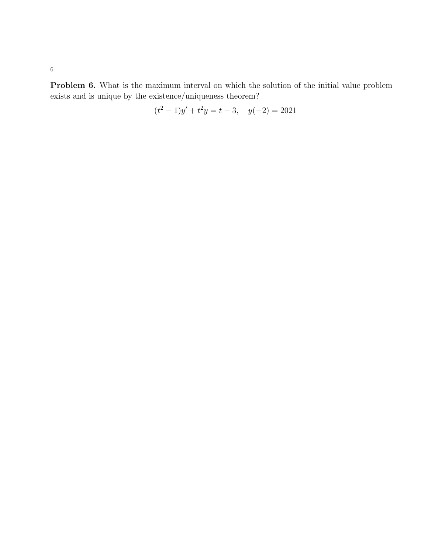Problem 6. What is the maximum interval on which the solution of the initial value problem exists and is unique by the existence/uniqueness theorem?

$$
(t2 - 1)y' + t2y = t - 3, \quad y(-2) = 2021
$$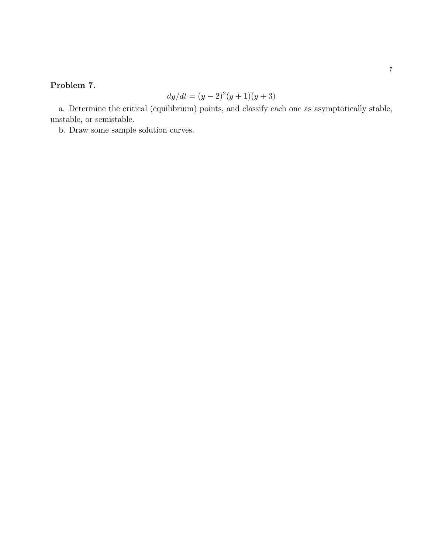## Problem 7.

$$
dy/dt = (y-2)^2(y+1)(y+3)
$$

a. Determine the critical (equilibrium) points, and classify each one as asymptotically stable, unstable, or semistable.

b. Draw some sample solution curves.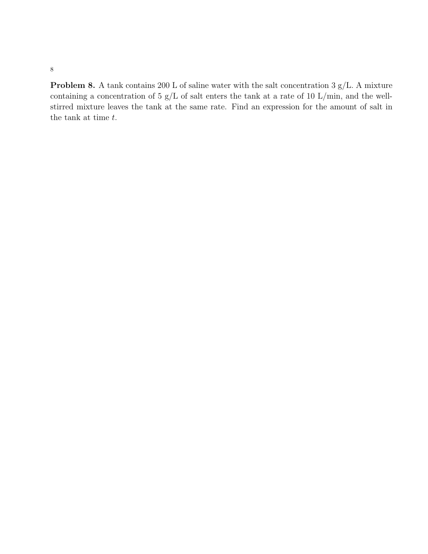Problem 8. A tank contains 200 L of saline water with the salt concentration 3 g/L. A mixture containing a concentration of 5 g/L of salt enters the tank at a rate of 10 L/min, and the wellstirred mixture leaves the tank at the same rate. Find an expression for the amount of salt in the tank at time  $t$ .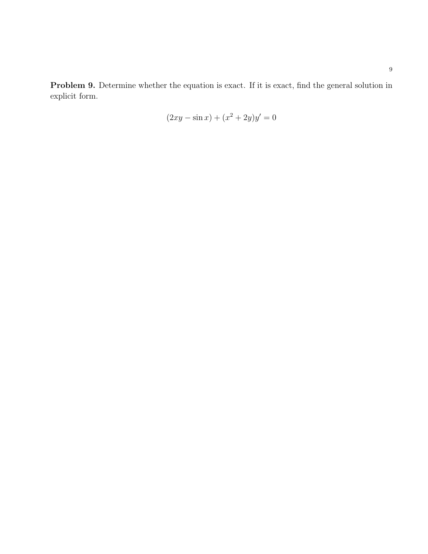Problem 9. Determine whether the equation is exact. If it is exact, find the general solution in explicit form.

$$
(2xy - \sin x) + (x^2 + 2y)y' = 0
$$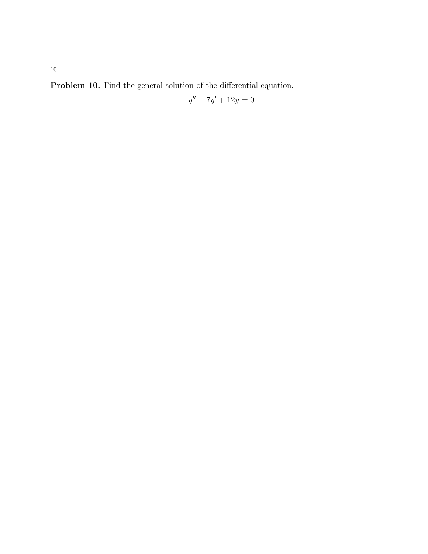Problem 10. Find the general solution of the differential equation.

$$
y'' - 7y' + 12y = 0
$$